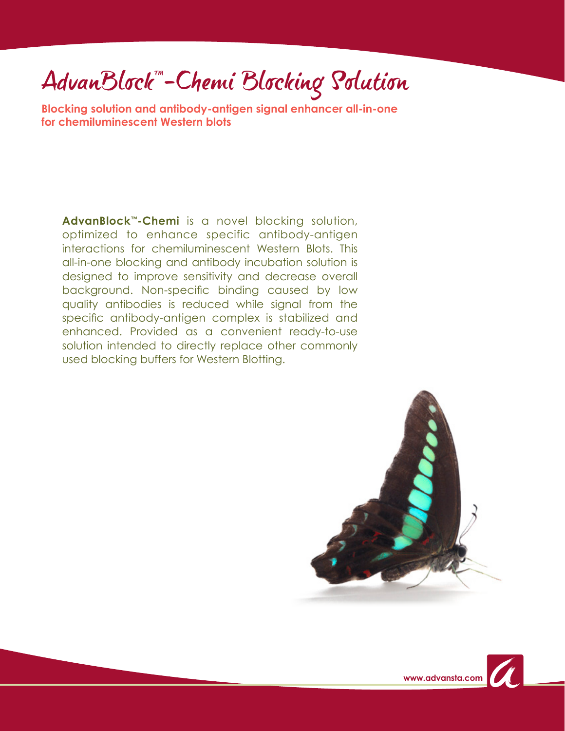## AdvanBlock"-Chemi Blocking Solution

**Blocking solution and antibody-antigen signal enhancer all-in-one for chemiluminescent Western blots**

**AdvanBlock™-Chemi** is a novel blocking solution, optimized to enhance specific antibody-antigen interactions for chemiluminescent Western Blots. This all-in-one blocking and antibody incubation solution is designed to improve sensitivity and decrease overall background. Non-specific binding caused by low quality antibodies is reduced while signal from the specific antibody-antigen complex is stabilized and enhanced. Provided as a convenient ready-to-use solution intended to directly replace other commonly used blocking buffers for Western Blotting.

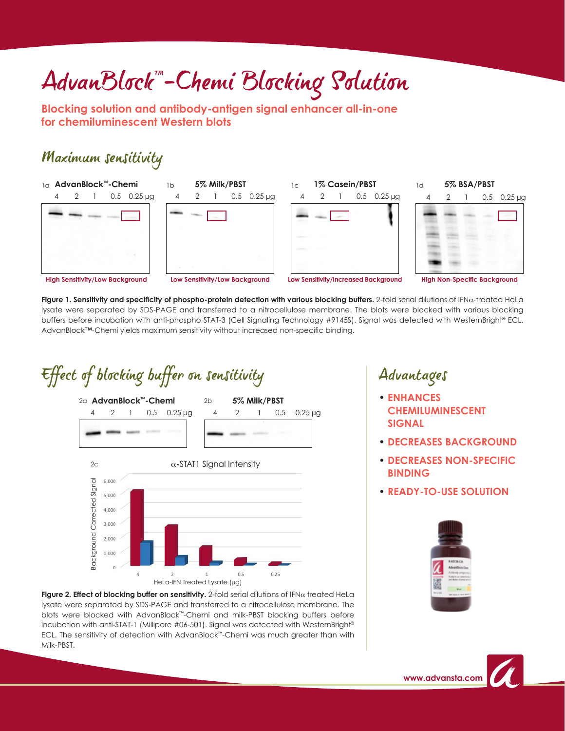# AdvanBlock<sup>-1</sup>-Chemi Blocking Solution

**Blocking solution and antibody-antigen signal enhancer all-in-one for chemiluminescent Western blots**

#### Maximum sensitivity









**Figure 1. Sensitivity and specificity of phospho-protein detection with various blocking buffers.** 2-fold serial dilutions of IFNα-treated HeLa lysate were separated by SDS-PAGE and transferred to a nitrocellulose membrane. The blots were blocked with various blocking buffers before incubation with anti-phospho STAT-3 (Cell Signaling Technology #9145S). Signal was detected with WesternBright® ECL. AdvanBlock™-Chemi yields maximum sensitivity without increased non-specific binding.

### Effect of blocking buffer on sensitivity



**Figure 2. Effect of blocking buffer on sensitivity.** 2-fold serial dilutions of IFNα treated HeLa lysate were separated by SDS-PAGE and transferred to a nitrocellulose membrane. The blots were blocked with AdvanBlock™-Chemi and milk-PBST blocking buffers before incubation with anti-STAT-1 (Millipore #06-501). Signal was detected with WesternBright® ECL. The sensitivity of detection with AdvanBlock™-Chemi was much greater than with Milk-PBST.

### Advantages

- **ENHANCES CHEMILUMINESCENT SIGNAL**
- **DECREASES BACKGROUND**
- **DECREASES NON-SPECIFIC BINDING**
- **READY-TO-USE SOLUTION**



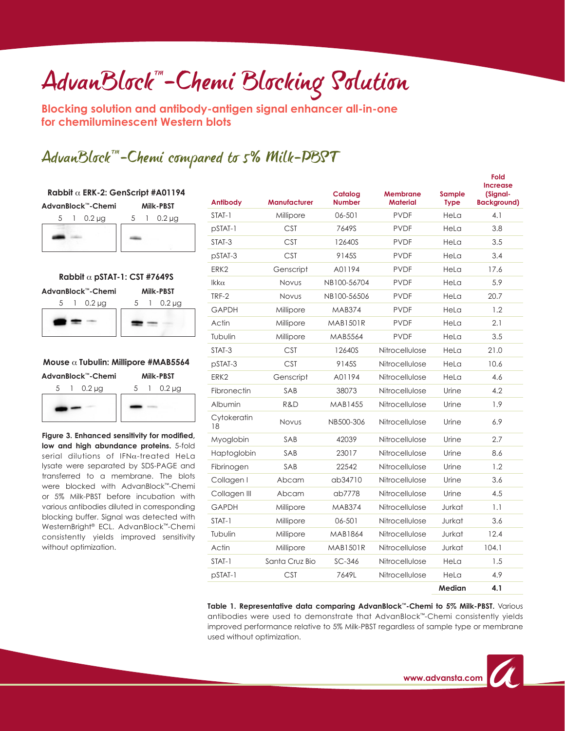## AdvanBlock<sup>-1</sup>-Chemi Blocking Solution

**Blocking solution and antibody-antigen signal enhancer all-in-one for chemiluminescent Western blots**

### AdvanBlock™-Chemi compared to 5% Milk-PBST

| Rabbit $\alpha$ ERK-2: GenScript #A01194 |                                              |  |  |  |  |  |
|------------------------------------------|----------------------------------------------|--|--|--|--|--|
| AdvanBlock™-Chemi                        | <b>Milk-PBST</b>                             |  |  |  |  |  |
| $0.2 \mu$ g<br>5                         | $0.2 \mu$ g<br>5<br>$\overline{\phantom{a}}$ |  |  |  |  |  |
|                                          |                                              |  |  |  |  |  |
|                                          |                                              |  |  |  |  |  |
|                                          |                                              |  |  |  |  |  |
|                                          |                                              |  |  |  |  |  |
| Rabbit $\alpha$ pSTAT-1: CST #7649S      |                                              |  |  |  |  |  |
| AdvanBlock™-Chemi<br><b>Milk-PBST</b>    |                                              |  |  |  |  |  |



#### **Mouse** α **Tubulin: Millipore #MAB5564**

**AdvanBlock™-Chemi Milk-PBST**



**Figure 3. Enhanced sensitivity for modified, low and high abundance proteins.** 5-fold serial dilutions of IFNa-treated HeLa lysate were separated by SDS-PAGE and transferred to a membrane. The blots were blocked with AdvanBlock™-Chemi or 5% Milk-PBST before incubation with various antibodies diluted in corresponding blocking buffer. Signal was detected with WesternBright® ECL. AdvanBlock™-Chemi consistently yields improved sensitivity without optimization.

| <b>Antibody</b>   | <b>Manufacturer</b> | Catalog<br><b>Number</b> | Membrane<br><b>Material</b> | Sample<br><b>Type</b> | Fold<br><b>Increase</b><br>(Signal-<br><b>Background)</b> |
|-------------------|---------------------|--------------------------|-----------------------------|-----------------------|-----------------------------------------------------------|
| STAT-1            | Millipore           | 06-501                   | <b>PVDF</b>                 | HeLa                  | 4.1                                                       |
| $pSTAT-1$         | <b>CST</b>          | 7649S                    | <b>PVDF</b>                 | HeLa                  | 3.8                                                       |
| STAT-3            | <b>CST</b>          | 12640S                   | <b>PVDF</b>                 | HeLa                  | 3.5                                                       |
| pSTAT-3           | <b>CST</b>          | 9145S                    | <b>PVDF</b>                 | HeLa                  | 3.4                                                       |
| ERK <sub>2</sub>  | Genscript           | A01194                   | <b>PVDF</b>                 | HeLa                  | 17.6                                                      |
| $lkk\alpha$       | Novus               | NB100-56704              | <b>PVDF</b>                 | HeLa                  | 5.9                                                       |
| TRF-2             | Novus               | NB100-56506              | <b>PVDF</b>                 | HeLa                  | 20.7                                                      |
| <b>GAPDH</b>      | Millipore           | <b>MAB374</b>            | <b>PVDF</b>                 | HeLa                  | 1.2                                                       |
| Actin             | Millipore           | <b>MAB1501R</b>          | <b>PVDF</b>                 | HeLa                  | 2.1                                                       |
| Tubulin           | Millipore           | MAB5564                  | <b>PVDF</b>                 | HeLa                  | 3.5                                                       |
| STAT-3            | <b>CST</b>          | 12640S                   | Nitrocellulose              | HeLa                  | 21.0                                                      |
| pSTAT-3           | <b>CST</b>          | 9145S                    | Nitrocellulose              | HeLa                  | 10.6                                                      |
| ERK <sub>2</sub>  | Genscript           | A01194                   | Nitrocellulose              | HeLa                  | 4.6                                                       |
| Fibronectin       | SAB                 | 38073                    | Nitrocellulose              | Urine                 | 4.2                                                       |
| Albumin           | R&D                 | MAB1455                  | Nitrocellulose              | Urine                 | 1.9                                                       |
| Cytokeratin<br>18 | Novus               | NB500-306                | Nitrocellulose              | Urine                 | 6.9                                                       |
| Myoglobin         | SAB                 | 42039                    | Nitrocellulose              | Urine                 | 2.7                                                       |
| Haptoglobin       | SAB                 | 23017                    | Nitrocellulose              | Urine                 | 8.6                                                       |
| Fibrinogen        | SAB                 | 22542                    | Nitrocellulose              | Urine                 | 1.2                                                       |
| Collagen I        | Abcam               | ab34710                  | Nitrocellulose              | Urine                 | 3.6                                                       |
| Collagen III      | Abcam               | ab7778                   | Nitrocellulose              | Urine                 | 4.5                                                       |
| <b>GAPDH</b>      | Millipore           | <b>MAB374</b>            | Nitrocellulose              | Jurkat                | 1.1                                                       |
| STAT-1            | Millipore           | 06-501                   | Nitrocellulose              | Jurkat                | 3.6                                                       |
| Tubulin           | Millipore           | MAB1864                  | Nitrocellulose              | Jurkat                | 12.4                                                      |
| Actin             | Millipore           | <b>MAB1501R</b>          | Nitrocellulose              | Jurkat                | 104.1                                                     |
| STAT-1            | Santa Cruz Bio      | $SC-346$                 | Nitrocellulose              | HeLa                  | 1.5                                                       |
| $pSTAT-1$         | <b>CST</b>          | 7649L                    | Nitrocellulose              | HeLa                  | 4.9                                                       |
|                   |                     |                          |                             | Madian                | A <sub>1</sub>                                            |

**Table 1. Representative data comparing AdvanBlock™-Chemi to 5% Milk-PBST.** Various antibodies were used to demonstrate that AdvanBlock™-Chemi consistently yields improved performance relative to 5% Milk-PBST regardless of sample type or membrane used without optimization.